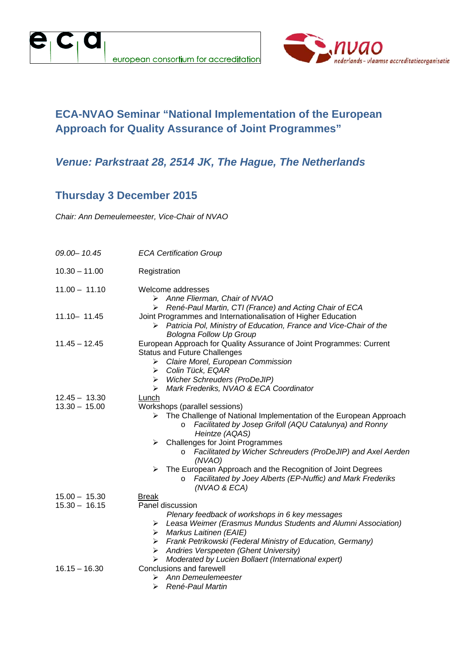



### **ECA-NVAO Seminar "National Implementation of the European Approach for Quality Assurance of Joint Programmes"**

#### *Venue: Parkstraat 28, 2514 JK, The Hague, The Netherlands*

### **Thursday 3 December 2015**

*Chair: Ann Demeulemeester, Vice-Chair of NVAO* 

| 09.00 - 10.45                      | <b>ECA Certification Group</b>                                                                                                                                                                                                                                                                                                                                                                                                                                                                                          |  |
|------------------------------------|-------------------------------------------------------------------------------------------------------------------------------------------------------------------------------------------------------------------------------------------------------------------------------------------------------------------------------------------------------------------------------------------------------------------------------------------------------------------------------------------------------------------------|--|
| $10.30 - 11.00$                    | Registration                                                                                                                                                                                                                                                                                                                                                                                                                                                                                                            |  |
| $11.00 - 11.10$                    | Welcome addresses<br>$\triangleright$ Anne Flierman, Chair of NVAO<br>> René-Paul Martin, CTI (France) and Acting Chair of ECA                                                                                                                                                                                                                                                                                                                                                                                          |  |
| $11.10 - 11.45$                    | Joint Programmes and Internationalisation of Higher Education<br>Patricia Pol, Ministry of Education, France and Vice-Chair of the<br>➤<br><b>Bologna Follow Up Group</b>                                                                                                                                                                                                                                                                                                                                               |  |
| $11.45 - 12.45$                    | European Approach for Quality Assurance of Joint Programmes: Current<br><b>Status and Future Challenges</b><br>Claire Morel, European Commission<br>➤<br>Colin Tück, EQAR<br>➤<br><b>Wicher Schreuders (ProDeJIP)</b><br>➤<br>Mark Frederiks, NVAO & ECA Coordinator<br>➤                                                                                                                                                                                                                                               |  |
| $12.45 - 13.30$<br>$13.30 - 15.00$ | Lunch<br>Workshops (parallel sessions)<br>The Challenge of National Implementation of the European Approach<br>⋗<br>Facilitated by Josep Grifoll (AQU Catalunya) and Ronny<br>$\circ$<br>Heintze (AQAS)<br>$\triangleright$ Challenges for Joint Programmes<br>Facilitated by Wicher Schreuders (ProDeJIP) and Axel Aerden<br>$\circ$<br>(NVAO)<br>$\triangleright$ The European Approach and the Recognition of Joint Degrees<br>Facilitated by Joey Alberts (EP-Nuffic) and Mark Frederiks<br>$\circ$<br>(NVAO & ECA) |  |
| $15.00 - 15.30$<br>$15.30 - 16.15$ | <b>Break</b><br>Panel discussion<br>Plenary feedback of workshops in 6 key messages<br>Leasa Weimer (Erasmus Mundus Students and Alumni Association)<br>➤<br>Markus Laitinen (EAIE)<br>➤<br>Frank Petrikowski (Federal Ministry of Education, Germany)<br>➤<br>Andries Verspeeten (Ghent University)<br>➤<br>Moderated by Lucien Bollaert (International expert)<br>➤                                                                                                                                                   |  |
| $16.15 - 16.30$                    | Conclusions and farewell<br>Ann Demeulemeester<br>⋗<br>René-Paul Martin<br>⋗                                                                                                                                                                                                                                                                                                                                                                                                                                            |  |